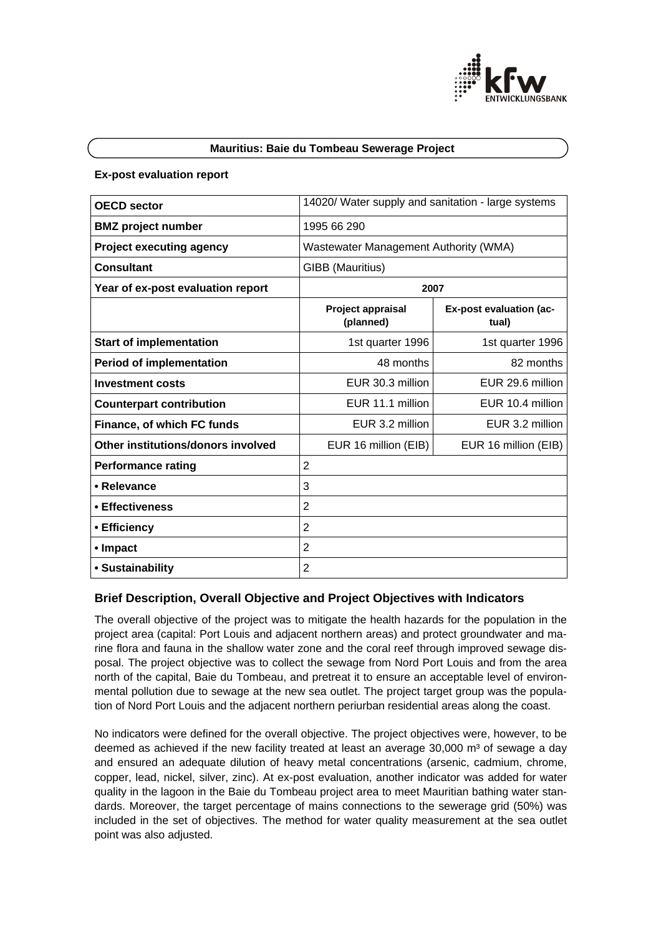

#### **Mauritius: Baie du Tombeau Sewerage Project**

#### **Ex-post evaluation report**

| <b>OECD sector</b>                 | 14020/ Water supply and sanitation - large systems |                                         |
|------------------------------------|----------------------------------------------------|-----------------------------------------|
| <b>BMZ</b> project number          | 1995 66 290                                        |                                         |
| <b>Project executing agency</b>    | Wastewater Management Authority (WMA)              |                                         |
| <b>Consultant</b>                  | GIBB (Mauritius)                                   |                                         |
| Year of ex-post evaluation report  | 2007                                               |                                         |
|                                    | <b>Project appraisal</b><br>(planned)              | <b>Ex-post evaluation (ac-</b><br>tual) |
| <b>Start of implementation</b>     | 1st quarter 1996                                   | 1st quarter 1996                        |
| <b>Period of implementation</b>    | 48 months                                          | 82 months                               |
| <b>Investment costs</b>            | EUR 30.3 million                                   | EUR 29.6 million                        |
| <b>Counterpart contribution</b>    | EUR 11.1 million                                   | EUR 10.4 million                        |
| Finance, of which FC funds         | EUR 3.2 million                                    | EUR 3.2 million                         |
| Other institutions/donors involved | EUR 16 million (EIB)                               | EUR 16 million (EIB)                    |
| <b>Performance rating</b>          | $\overline{2}$                                     |                                         |
| • Relevance                        | 3                                                  |                                         |
| • Effectiveness                    | $\overline{2}$                                     |                                         |
| • Efficiency                       | 2                                                  |                                         |
| • Impact                           | 2                                                  |                                         |
| • Sustainability                   | 2                                                  |                                         |

#### **Brief Description, Overall Objective and Project Objectives with Indicators**

The overall objective of the project was to mitigate the health hazards for the population in the project area (capital: Port Louis and adjacent northern areas) and protect groundwater and marine flora and fauna in the shallow water zone and the coral reef through improved sewage disposal. The project objective was to collect the sewage from Nord Port Louis and from the area north of the capital, Baie du Tombeau, and pretreat it to ensure an acceptable level of environmental pollution due to sewage at the new sea outlet. The project target group was the population of Nord Port Louis and the adjacent northern periurban residential areas along the coast.

No indicators were defined for the overall objective. The project objectives were, however, to be deemed as achieved if the new facility treated at least an average  $30,000$  m<sup>3</sup> of sewage a day and ensured an adequate dilution of heavy metal concentrations (arsenic, cadmium, chrome, copper, lead, nickel, silver, zinc). At ex-post evaluation, another indicator was added for water quality in the lagoon in the Baie du Tombeau project area to meet Mauritian bathing water standards. Moreover, the target percentage of mains connections to the sewerage grid (50%) was included in the set of objectives. The method for water quality measurement at the sea outlet point was also adjusted.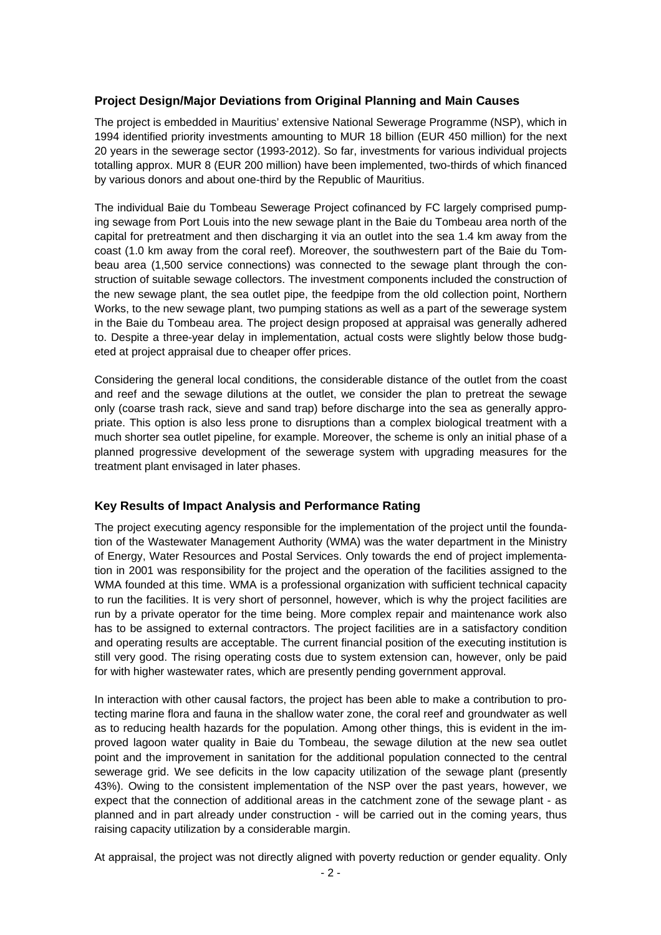## **Project Design/Major Deviations from Original Planning and Main Causes**

The project is embedded in Mauritius' extensive National Sewerage Programme (NSP), which in 1994 identified priority investments amounting to MUR 18 billion (EUR 450 million) for the next 20 years in the sewerage sector (1993-2012). So far, investments for various individual projects totalling approx. MUR 8 (EUR 200 million) have been implemented, two-thirds of which financed by various donors and about one-third by the Republic of Mauritius.

The individual Baie du Tombeau Sewerage Project cofinanced by FC largely comprised pumping sewage from Port Louis into the new sewage plant in the Baie du Tombeau area north of the capital for pretreatment and then discharging it via an outlet into the sea 1.4 km away from the coast (1.0 km away from the coral reef). Moreover, the southwestern part of the Baie du Tombeau area (1,500 service connections) was connected to the sewage plant through the construction of suitable sewage collectors. The investment components included the construction of the new sewage plant, the sea outlet pipe, the feedpipe from the old collection point, Northern Works, to the new sewage plant, two pumping stations as well as a part of the sewerage system in the Baie du Tombeau area. The project design proposed at appraisal was generally adhered to. Despite a three-year delay in implementation, actual costs were slightly below those budgeted at project appraisal due to cheaper offer prices.

Considering the general local conditions, the considerable distance of the outlet from the coast and reef and the sewage dilutions at the outlet, we consider the plan to pretreat the sewage only (coarse trash rack, sieve and sand trap) before discharge into the sea as generally appropriate. This option is also less prone to disruptions than a complex biological treatment with a much shorter sea outlet pipeline, for example. Moreover, the scheme is only an initial phase of a planned progressive development of the sewerage system with upgrading measures for the treatment plant envisaged in later phases.

# **Key Results of Impact Analysis and Performance Rating**

The project executing agency responsible for the implementation of the project until the foundation of the Wastewater Management Authority (WMA) was the water department in the Ministry of Energy, Water Resources and Postal Services. Only towards the end of project implementation in 2001 was responsibility for the project and the operation of the facilities assigned to the WMA founded at this time. WMA is a professional organization with sufficient technical capacity to run the facilities. It is very short of personnel, however, which is why the project facilities are run by a private operator for the time being. More complex repair and maintenance work also has to be assigned to external contractors. The project facilities are in a satisfactory condition and operating results are acceptable. The current financial position of the executing institution is still very good. The rising operating costs due to system extension can, however, only be paid for with higher wastewater rates, which are presently pending government approval.

In interaction with other causal factors, the project has been able to make a contribution to protecting marine flora and fauna in the shallow water zone, the coral reef and groundwater as well as to reducing health hazards for the population. Among other things, this is evident in the improved lagoon water quality in Baie du Tombeau, the sewage dilution at the new sea outlet point and the improvement in sanitation for the additional population connected to the central sewerage grid. We see deficits in the low capacity utilization of the sewage plant (presently 43%). Owing to the consistent implementation of the NSP over the past years, however, we expect that the connection of additional areas in the catchment zone of the sewage plant - as planned and in part already under construction - will be carried out in the coming years, thus raising capacity utilization by a considerable margin.

At appraisal, the project was not directly aligned with poverty reduction or gender equality. Only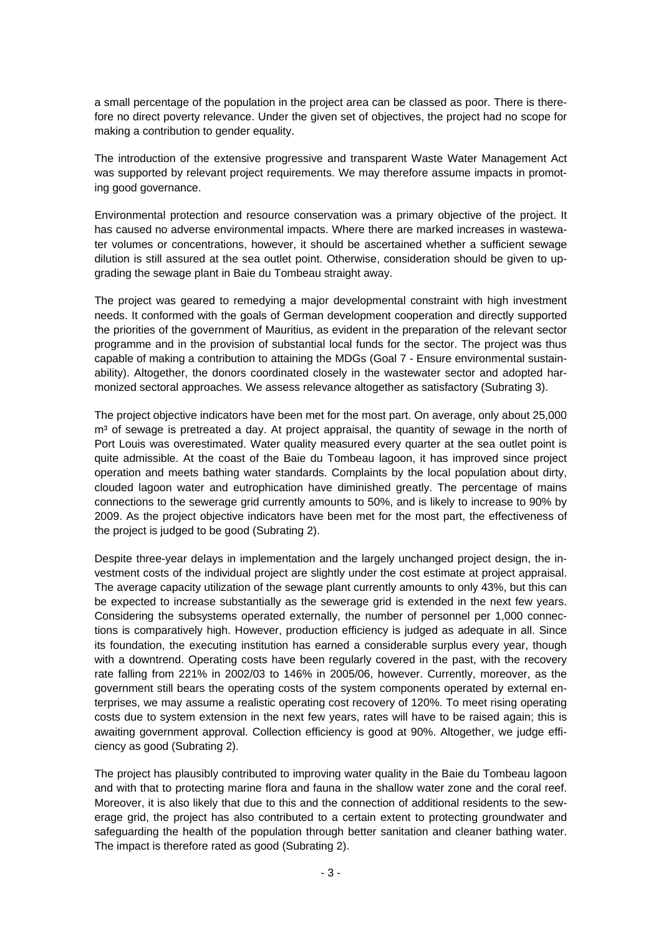a small percentage of the population in the project area can be classed as poor. There is therefore no direct poverty relevance. Under the given set of objectives, the project had no scope for making a contribution to gender equality.

The introduction of the extensive progressive and transparent Waste Water Management Act was supported by relevant project requirements. We may therefore assume impacts in promoting good governance.

Environmental protection and resource conservation was a primary objective of the project. It has caused no adverse environmental impacts. Where there are marked increases in wastewater volumes or concentrations, however, it should be ascertained whether a sufficient sewage dilution is still assured at the sea outlet point. Otherwise, consideration should be given to upgrading the sewage plant in Baie du Tombeau straight away.

The project was geared to remedying a major developmental constraint with high investment needs. It conformed with the goals of German development cooperation and directly supported the priorities of the government of Mauritius, as evident in the preparation of the relevant sector programme and in the provision of substantial local funds for the sector. The project was thus capable of making a contribution to attaining the MDGs (Goal 7 - Ensure environmental sustainability). Altogether, the donors coordinated closely in the wastewater sector and adopted harmonized sectoral approaches. We assess relevance altogether as satisfactory (Subrating 3).

The project objective indicators have been met for the most part. On average, only about 25,000 m<sup>3</sup> of sewage is pretreated a day. At project appraisal, the quantity of sewage in the north of Port Louis was overestimated. Water quality measured every quarter at the sea outlet point is quite admissible. At the coast of the Baie du Tombeau lagoon, it has improved since project operation and meets bathing water standards. Complaints by the local population about dirty, clouded lagoon water and eutrophication have diminished greatly. The percentage of mains connections to the sewerage grid currently amounts to 50%, and is likely to increase to 90% by 2009. As the project objective indicators have been met for the most part, the effectiveness of the project is judged to be good (Subrating 2).

Despite three-year delays in implementation and the largely unchanged project design, the investment costs of the individual project are slightly under the cost estimate at project appraisal. The average capacity utilization of the sewage plant currently amounts to only 43%, but this can be expected to increase substantially as the sewerage grid is extended in the next few years. Considering the subsystems operated externally, the number of personnel per 1,000 connections is comparatively high. However, production efficiency is judged as adequate in all. Since its foundation, the executing institution has earned a considerable surplus every year, though with a downtrend. Operating costs have been regularly covered in the past, with the recovery rate falling from 221% in 2002/03 to 146% in 2005/06, however. Currently, moreover, as the government still bears the operating costs of the system components operated by external enterprises, we may assume a realistic operating cost recovery of 120%. To meet rising operating costs due to system extension in the next few years, rates will have to be raised again; this is awaiting government approval. Collection efficiency is good at 90%. Altogether, we judge efficiency as good (Subrating 2).

The project has plausibly contributed to improving water quality in the Baie du Tombeau lagoon and with that to protecting marine flora and fauna in the shallow water zone and the coral reef. Moreover, it is also likely that due to this and the connection of additional residents to the sewerage grid, the project has also contributed to a certain extent to protecting groundwater and safeguarding the health of the population through better sanitation and cleaner bathing water. The impact is therefore rated as good (Subrating 2).